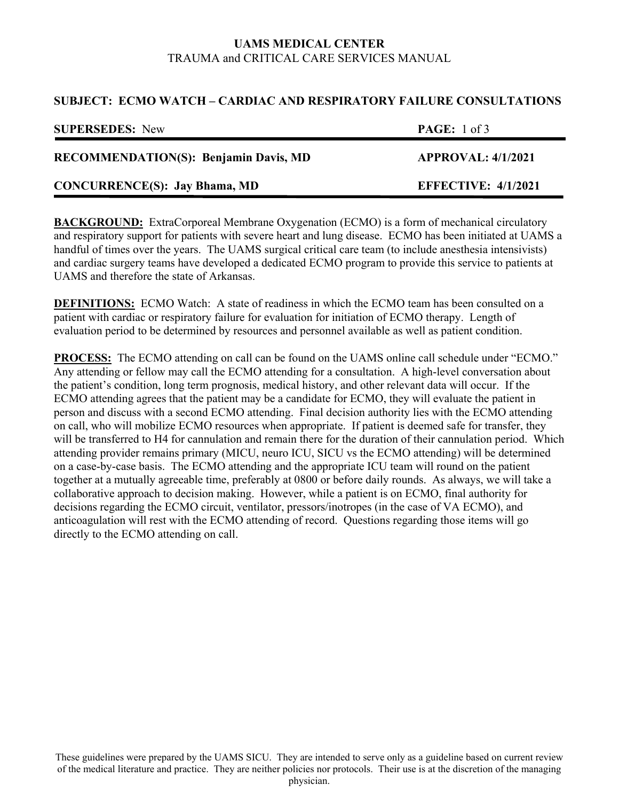# **UAMS MEDICAL CENTER**  TRAUMA and CRITICAL CARE SERVICES MANUAL

## **SUBJECT: ECMO WATCH – CARDIAC AND RESPIRATORY FAILURE CONSULTATIONS**

| <b>SUPERSEDES:</b> New                       | <b>PAGE:</b> $1 \text{ of } 3$ |
|----------------------------------------------|--------------------------------|
| <b>RECOMMENDATION(S): Benjamin Davis, MD</b> | <b>APPROVAL: 4/1/2021</b>      |
| <b>CONCURRENCE(S): Jay Bhama, MD</b>         | <b>EFFECTIVE: 4/1/2021</b>     |

**BACKGROUND:** ExtraCorporeal Membrane Oxygenation (ECMO) is a form of mechanical circulatory and respiratory support for patients with severe heart and lung disease. ECMO has been initiated at UAMS a handful of times over the years. The UAMS surgical critical care team (to include anesthesia intensivists) and cardiac surgery teams have developed a dedicated ECMO program to provide this service to patients at UAMS and therefore the state of Arkansas.

**DEFINITIONS:** ECMO Watch: A state of readiness in which the ECMO team has been consulted on a patient with cardiac or respiratory failure for evaluation for initiation of ECMO therapy. Length of evaluation period to be determined by resources and personnel available as well as patient condition.

**PROCESS:** The ECMO attending on call can be found on the UAMS online call schedule under "ECMO." Any attending or fellow may call the ECMO attending for a consultation. A high-level conversation about the patient's condition, long term prognosis, medical history, and other relevant data will occur. If the ECMO attending agrees that the patient may be a candidate for ECMO, they will evaluate the patient in person and discuss with a second ECMO attending. Final decision authority lies with the ECMO attending on call, who will mobilize ECMO resources when appropriate. If patient is deemed safe for transfer, they will be transferred to H4 for cannulation and remain there for the duration of their cannulation period. Which attending provider remains primary (MICU, neuro ICU, SICU vs the ECMO attending) will be determined on a case-by-case basis. The ECMO attending and the appropriate ICU team will round on the patient together at a mutually agreeable time, preferably at 0800 or before daily rounds. As always, we will take a collaborative approach to decision making. However, while a patient is on ECMO, final authority for decisions regarding the ECMO circuit, ventilator, pressors/inotropes (in the case of VA ECMO), and anticoagulation will rest with the ECMO attending of record. Questions regarding those items will go directly to the ECMO attending on call.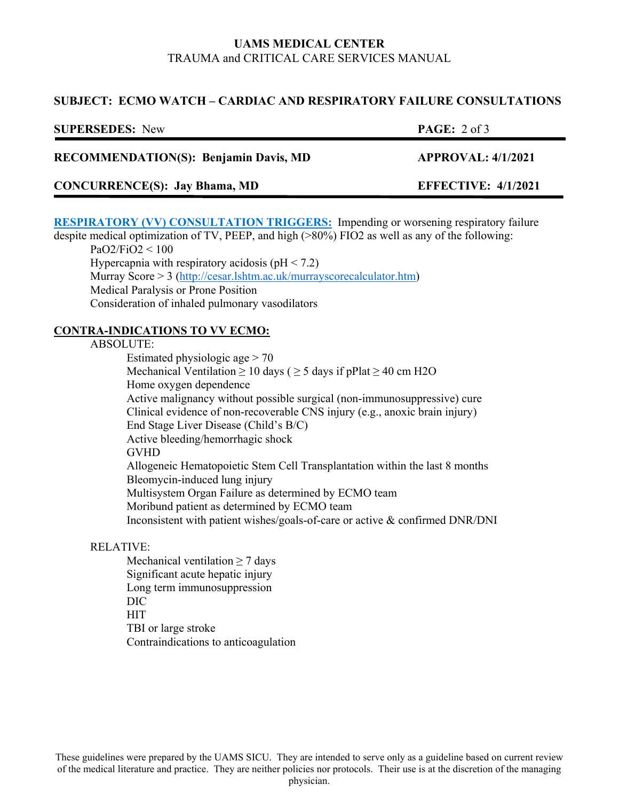# **UAMS MEDICAL CENTER**  TRAUMA and CRITICAL CARE SERVICES MANUAL

## **SUBJECT: ECMO WATCH – CARDIAC AND RESPIRATORY FAILURE CONSULTATIONS**

| <b>SUPERSEDES:</b> New                       | <b>PAGE:</b> $2 \text{ of } 3$ |
|----------------------------------------------|--------------------------------|
| <b>RECOMMENDATION(S): Benjamin Davis, MD</b> | <b>APPROVAL: 4/1/2021</b>      |
| <b>CONCURRENCE(S): Jay Bhama, MD</b>         | <b>EFFECTIVE: 4/1/2021</b>     |

**RESPIRATORY (VV) CONSULTATION TRIGGERS:** Impending or worsening respiratory failure despite medical optimization of TV, PEEP, and high (>80%) FIO2 as well as any of the following:

 PaO2/FiO2 < 100 Hypercapnia with respiratory acidosis ( $pH < 7.2$ ) Murray Score > 3 (http://cesar.lshtm.ac.uk/murrayscorecalculator.htm) Medical Paralysis or Prone Position Consideration of inhaled pulmonary vasodilators

## **CONTRA-INDICATIONS TO VV ECMO:**

#### ABSOLUTE:

Estimated physiologic age  $> 70$ Mechanical Ventilation  $\geq 10$  days ( $\geq 5$  days if pPlat  $\geq 40$  cm H2O Home oxygen dependence Active malignancy without possible surgical (non-immunosuppressive) cure Clinical evidence of non-recoverable CNS injury (e.g., anoxic brain injury) End Stage Liver Disease (Child's B/C) Active bleeding/hemorrhagic shock GVHD Allogeneic Hematopoietic Stem Cell Transplantation within the last 8 months Bleomycin-induced lung injury Multisystem Organ Failure as determined by ECMO team Moribund patient as determined by ECMO team Inconsistent with patient wishes/goals-of-care or active & confirmed DNR/DNI

## RELATIVE:

Mechanical ventilation  $\geq$  7 days Significant acute hepatic injury Long term immunosuppression DIC **HIT**  TBI or large stroke Contraindications to anticoagulation